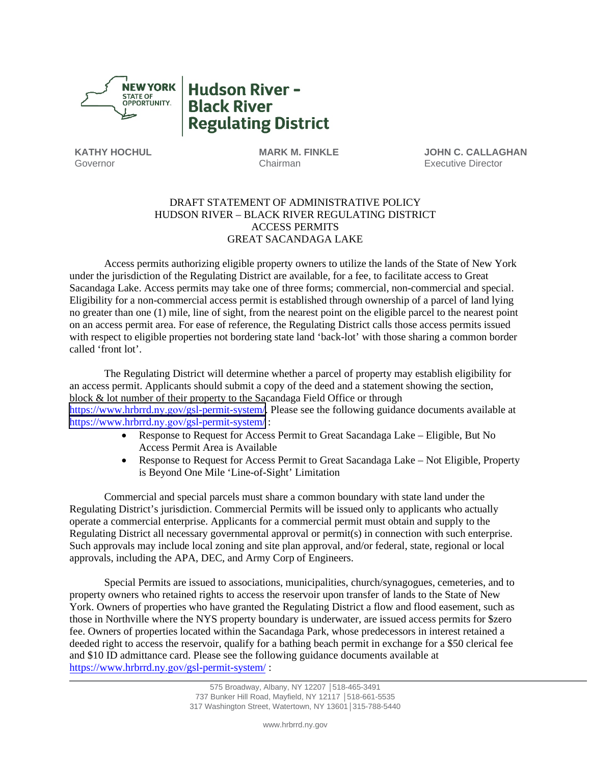

**Hudson River -Black River Regulating District** 

**KATHY HOCHUL** Governor

**MARK M. FINKLE** Chairman

**JOHN C. CALLAGHAN** Executive Director

# DRAFT STATEMENT OF ADMINISTRATIVE POLICY HUDSON RIVER – BLACK RIVER REGULATING DISTRICT ACCESS PERMITS GREAT SACANDAGA LAKE

Access permits authorizing eligible property owners to utilize the lands of the State of New York under the jurisdiction of the Regulating District are available, for a fee, to facilitate access to Great Sacandaga Lake. Access permits may take one of three forms; commercial, non-commercial and special. Eligibility for a non-commercial access permit is established through ownership of a parcel of land lying no greater than one (1) mile, line of sight, from the nearest point on the eligible parcel to the nearest point on an access permit area. For ease of reference, the Regulating District calls those access permits issued with respect to eligible properties not bordering state land 'back-lot' with those sharing a common border called 'front lot'.

The Regulating District will determine whether a parcel of property may establish eligibility for an access permit. Applicants should submit a copy of the deed and a statement showing the section, block & lot number of their property to the Sacandaga Field Office or through https://www.hrbrrd.ny.gov[/gsl-permit-system/. Ple](https://www.hrbrrd.ny.gov/gsl-permit-system/)ase see the following g[uidance documents available at](https://www.hrbrrd.com/gsl-permit-system/)  [https://www.hr](https://www.hrbrrd.com/gsl-permit-system/)[brrd.](https://www.hrbrrd.ny.gov/gsl-permit-system/)ny.gov/gsl-permit-system/ :

- Response to Request for Access Permit to Great Sacandaga Lake Eligible, But No Access Permit Area is Available
- Response to Request for Access Permit to Great Sacandaga Lake Not Eligible, Property is Beyond One Mile 'Line-of-Sight' Limitation

Commercial and special parcels must share a common boundary with state land under the Regulating District's jurisdiction. Commercial Permits will be issued only to applicants who actually operate a commercial enterprise. Applicants for a commercial permit must obtain and supply to the Regulating District all necessary governmental approval or permit(s) in connection with such enterprise. Such approvals may include local zoning and site plan approval, and/or federal, state, regional or local approvals, including the APA, DEC, and Army Corp of Engineers.

Special Permits are issued to associations, municipalities, church/synagogues, cemeteries, and to property owners who retained rights to access the reservoir upon transfer of lands to the State of New York. Owners of properties who have granted the Regulating District a flow and flood easement, such as those in Northville where the NYS property boundary is underwater, are issued access permits for \$zero fee. Owners of properties located within the Sacandaga Park, whose predecessors in interest retained a deeded right to access the reservoir, qualify for a bathing beach permit in exchange for a \$50 clerical fee and \$10 ID admittance card. Please see the following guidance documents available at [https://www.hrbrrd.](https://www.hrbrrd.ny.gov/gsl-permit-system/)ny.gov/gsl-permit-system/ :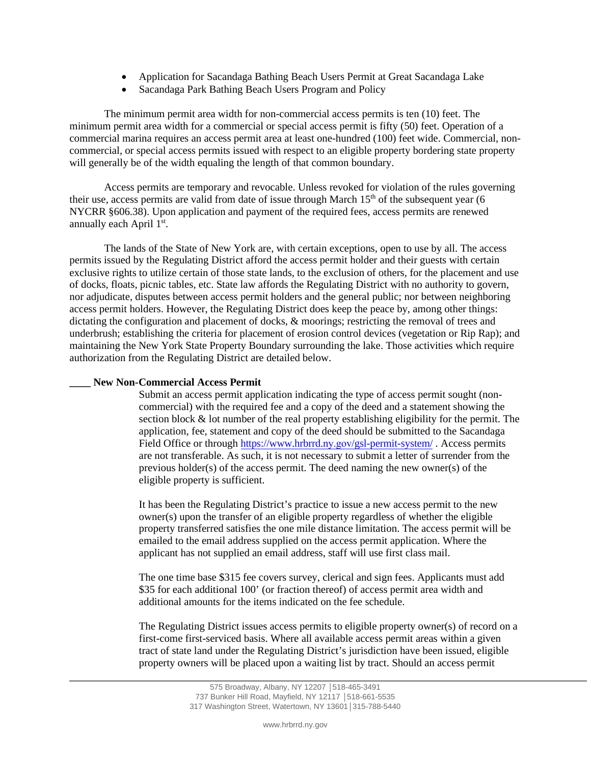- Application for Sacandaga Bathing Beach Users Permit at Great Sacandaga Lake
- Sacandaga Park Bathing Beach Users Program and Policy

The minimum permit area width for non-commercial access permits is ten (10) feet. The minimum permit area width for a commercial or special access permit is fifty (50) feet. Operation of a commercial marina requires an access permit area at least one-hundred (100) feet wide. Commercial, noncommercial, or special access permits issued with respect to an eligible property bordering state property will generally be of the width equaling the length of that common boundary.

Access permits are temporary and revocable. Unless revoked for violation of the rules governing their use, access permits are valid from date of issue through March  $15<sup>th</sup>$  of the subsequent year (6) NYCRR §606.38). Upon application and payment of the required fees, access permits are renewed annually each April 1st.

The lands of the State of New York are, with certain exceptions, open to use by all. The access permits issued by the Regulating District afford the access permit holder and their guests with certain exclusive rights to utilize certain of those state lands, to the exclusion of others, for the placement and use of docks, floats, picnic tables, etc. State law affords the Regulating District with no authority to govern, nor adjudicate, disputes between access permit holders and the general public; nor between neighboring access permit holders. However, the Regulating District does keep the peace by, among other things: dictating the configuration and placement of docks, & moorings; restricting the removal of trees and underbrush; establishing the criteria for placement of erosion control devices (vegetation or Rip Rap); and maintaining the New York State Property Boundary surrounding the lake. Those activities which require authorization from the Regulating District are detailed below.

# **\_\_\_\_ New Non-Commercial Access Permit**

Submit an access permit application indicating the type of access permit sought (noncommercial) with the required fee and a copy of the deed and a statement showing the section block & lot number of the real property establishing eligibility for the permit. The application, fee, statement and copy of the deed should be submitted to the Sacandaga Field Office or through [https://www.hrbrrd.](https://www.hrbrrd.ny.gov/gsl-permit-system/)ny.gov/gsl-permit-system/ . Access permits are not transferable. As such, it is not necessary to submit a letter of surrender from the previous holder(s) of the access permit. The deed naming the new owner(s) of the eligible property is sufficient.

It has been the Regulating District's practice to issue a new access permit to the new owner(s) upon the transfer of an eligible property regardless of whether the eligible property transferred satisfies the one mile distance limitation. The access permit will be emailed to the email address supplied on the access permit application. Where the applicant has not supplied an email address, staff will use first class mail.

The one time base \$315 fee covers survey, clerical and sign fees. Applicants must add \$35 for each additional 100' (or fraction thereof) of access permit area width and additional amounts for the items indicated on the fee schedule.

The Regulating District issues access permits to eligible property owner(s) of record on a first-come first-serviced basis. Where all available access permit areas within a given tract of state land under the Regulating District's jurisdiction have been issued, eligible property owners will be placed upon a waiting list by tract. Should an access permit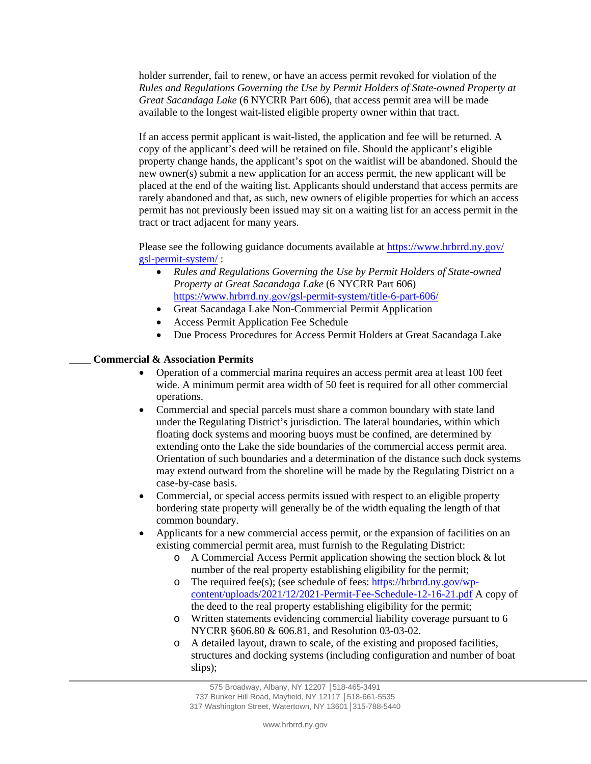holder surrender, fail to renew, or have an access permit revoked for violation of the *Rules and Regulations Governing the Use by Permit Holders of State-owned Property at Great Sacandaga Lake* (6 NYCRR Part 606), that access permit area will be made available to the longest wait-listed eligible property owner within that tract.

If an access permit applicant is wait-listed, the application and fee will be returned. A copy of the applicant's deed will be retained on file. Should the applicant's eligible property change hands, the applicant's spot on the waitlist will be abandoned. Should the new owner(s) submit a new application for an access permit, the new applicant will be placed at the end of the waiting list. Applicants should understand that access permits are rarely abandoned and that, as such, new owners of eligible properties for which an access permit has not previously been issued may sit on a waiting list for an access permit in the tract or tract adjacent for many years.

Please see the following guidance documents available at [https://www.hrbrrd.](https://www.hrbrrd.ny.gov/gsl-permit-system/)ny.gov/ [gsl-permit-syste](https://www.hrbrrd.com/gsl-permit-system/)m/ :

- *Rules and Regulations Governing the Use by Permit Holders of State-owned Property at Great Sacandaga Lake* (6 NYCRR Part 606) https://www.hrbrrd.ny.gov[/gsl-permit-system/title-6-part-606/](https://www.hrbrrd.ny.gov/gsl-permit-system/title-6-part-606/)
- [Great Sa](https://www.hrbrrd.ny.gov/gsl-permit-system/title-6-part-606/%E2%80%A2Great)candaga Lake Non-Commercial Permit Application
- Access Permit Application Fee Schedule
- Due Process Procedures for Access Permit Holders at Great Sacandaga Lake

## **\_\_\_\_ Commercial & Association Permits**

- Operation of a commercial marina requires an access permit area at least 100 feet wide. A minimum permit area width of 50 feet is required for all other commercial operations.
- Commercial and special parcels must share a common boundary with state land under the Regulating District's jurisdiction. The lateral boundaries, within which floating dock systems and mooring buoys must be confined, are determined by extending onto the Lake the side boundaries of the commercial access permit area. Orientation of such boundaries and a determination of the distance such dock systems may extend outward from the shoreline will be made by the Regulating District on a case-by-case basis.
- Commercial, or special access permits issued with respect to an eligible property bordering state property will generally be of the width equaling the length of that common boundary.
- Applicants for a new commercial access permit, or the expansion of facilities on an existing commercial permit area, must furnish to the Regulating District:
	- o A Commercial Access Permit application showing the section block & lot number of the real property establishing eligibility for the permit;
	- o The required fee(s); (see schedule of fees: [https://hrbrrd.ny.gov/wp](https://hrbrrd.ny.gov/wp-content/uploads/2021/12/2021-Permit-Fee-Schedule-12-16-21.pdf)[content/uploads/2021/12/2021-Permit-Fee-Schedule-12-16-21.pdf](https://hrbrrd.ny.gov/wp-content/uploads/2021/12/2021-Permit-Fee-Schedule-12-16-21.pdf) A copy of the deed to the real property establishing eligibility for the permit;
	- o Written statements evidencing commercial liability coverage pursuant to 6 NYCRR §606.80 & 606.81, and Resolution 03-03-02.
	- o A detailed layout, drawn to scale, of the existing and proposed facilities, structures and docking systems (including configuration and number of boat slips);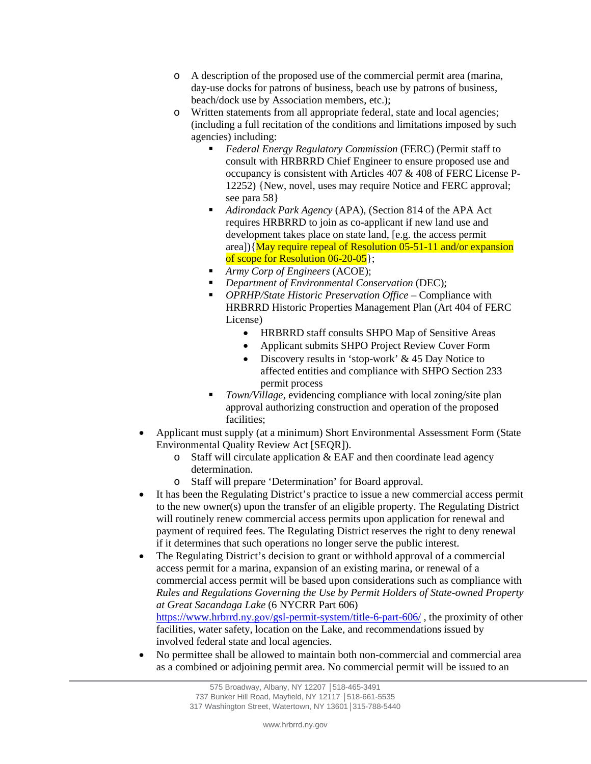- o A description of the proposed use of the commercial permit area (marina, day-use docks for patrons of business, beach use by patrons of business, beach/dock use by Association members, etc.);
- o Written statements from all appropriate federal, state and local agencies; (including a full recitation of the conditions and limitations imposed by such agencies) including:
	- *Federal Energy Regulatory Commission* (FERC) (Permit staff to consult with HRBRRD Chief Engineer to ensure proposed use and occupancy is consistent with Articles 407 & 408 of FERC License P-12252) {New, novel, uses may require Notice and FERC approval; see para 58}
	- *Adirondack Park Agency* (APA), (Section 814 of the APA Act requires HRBRRD to join as co-applicant if new land use and development takes place on state land, [e.g. the access permit area]){May require repeal of Resolution 05-51-11 and/or expansion of scope for Resolution 06-20-05};
	- *Army Corp of Engineers* (ACOE);
	- *Department of Environmental Conservation* (DEC);
	- *OPRHP/State Historic Preservation Office* Compliance with HRBRRD Historic Properties Management Plan (Art 404 of FERC License)
		- HRBRRD staff consults SHPO Map of Sensitive Areas
		- Applicant submits SHPO Project Review Cover Form
		- Discovery results in 'stop-work' & 45 Day Notice to affected entities and compliance with SHPO Section 233 permit process
	- *Town/Village*, evidencing compliance with local zoning/site plan approval authorizing construction and operation of the proposed facilities;
- Applicant must supply (at a minimum) Short Environmental Assessment Form (State Environmental Quality Review Act [SEQR]).
	- $\circ$  Staff will circulate application & EAF and then coordinate lead agency determination.
	- o Staff will prepare 'Determination' for Board approval.
- It has been the Regulating District's practice to issue a new commercial access permit to the new owner(s) upon the transfer of an eligible property. The Regulating District will routinely renew commercial access permits upon application for renewal and payment of required fees. The Regulating District reserves the right to deny renewal if it determines that such operations no longer serve the public interest.
- The Regulating District's decision to grant or withhold approval of a commercial access permit for a marina, expansion of an existing marina, or renewal of a commercial access permit will be based upon considerations such as compliance with *Rules and Regulations Governing the Use by Permit Holders of State-owned Property at Great Sacandaga Lake* (6 NYCRR Part 606)

https://www.hrbrrd.ny.gov[/gsl-permit-system/title-6-part-606/](https://www.hrbrrd.ny.gov/gsl-permit-system/title-6-part-606/) , the proximity of other facilities, water safety, location on the Lake, and recommendations issued by involved federal state and local agencies.

• No permittee shall be allowed to maintain both non-commercial and commercial area as a combined or adjoining permit area. No commercial permit will be issued to an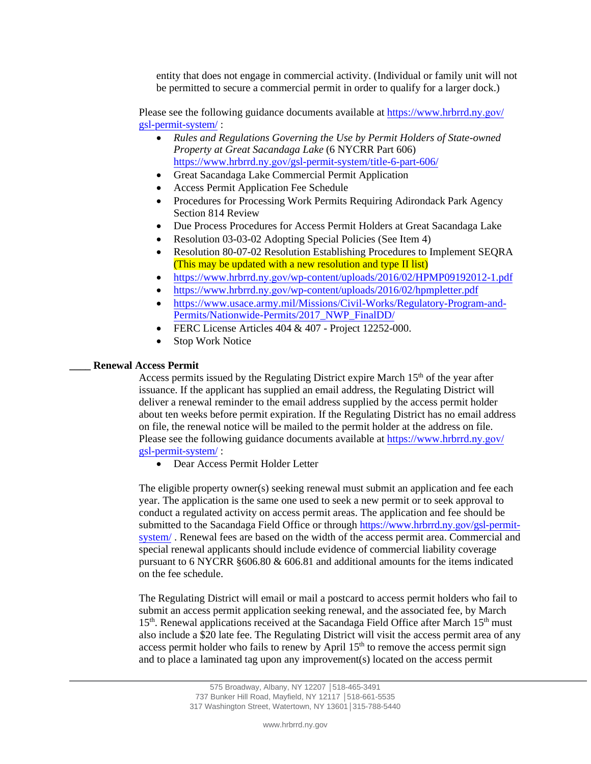entity that does not engage in commercial activity. (Individual or family unit will not be permitted to secure a commercial permit in order to qualify for a larger dock.)

Please see the following guidance documents available at [https://www.hrbrrd.](https://www.hrbrrd.ny.gov/gsl-permit-system/)ny.gov/ [gsl-permit-syste](https://www.hrbrrd.com/gsl-permit-system/)m/ :

- *Rules and Regulations Governing the Use by Permit Holders of State-owned Property at Great Sacandaga Lake* (6 NYCRR Part 606) https://www.hrbrrd.ny.gov[/gsl-permit-system/title-6-part-606/](https://www.hrbrrd.ny.gov/gsl-permit-system/title-6-part-606/)
- Great Sacandaga Lake Commercial Permit Application
- Access Permit Application Fee Schedule
- Procedures for Processing Work Permits Requiring Adirondack Park Agency Section 814 Review
- Due Process Procedures for Access Permit Holders at Great Sacandaga Lake
- Resolution 03-03-02 Adopting Special Policies (See Item 4)
- Resolution 80-07-02 Resolution Establishing Procedures to Implement SEQRA (This may be updated with a new resolution and type II list)
- https://www.hrbrrd.ny.gov[/wp-content/uploads/2016/02/HPMP09192012-1.p](https://www.hrbrrd.ny.gov/wp-content/uploads/2016/02/HPMP09192012-1.pdf)df
- https://www.hrbrrd.ny.gov[/wp-content/uploads/2016/02/hpmpletter.p](https://www.hrbrrd.ny.gov/wp-content/uploads/2016/02/hpmpletter.pdf)df
- [https://www.usace.army.mil/Missions/Civil-Works/Regulatory-Program-and-](https://www.usace.army.mil/Missions/Civil-Works/Regulatory-Program-and-Permits/Nationwide-Permits/2017_NWP_FinalDD/)[Permits/Nationwide-Permits/2017\\_NWP\\_FinalDD/](https://www.usace.army.mil/Missions/Civil-Works/Regulatory-Program-and-Permits/Nationwide-Permits/2017_NWP_FinalDD/)
- FERC License Articles 404 & 407 Project 12252-000.
- **Stop Work Notice**

#### **\_\_\_\_ Renewal Access Permit**

Access permits issued by the Regulating District expire March  $15<sup>th</sup>$  of the year after issuance. If the applicant has supplied an email address, the Regulating District will deliver a renewal reminder to the email address supplied by the access permit holder about ten weeks before permit expiration. If the Regulating District has no email address on file, the renewal notice will be mailed to the permit holder at the address on file. Please see the following guidance documents available at [https://www.hrbrrd.](https://www.hrbrrd.ny.gov/gsl-permit-system/)ny.gov/ [gsl-permit-syste](https://www.hrbrrd.ny.gov/gsl-permit-system/)m/ :

• Dear Access Permit Holder Letter

The eligible property owner(s) seeking renewal must submit an application and fee each year. The application is the same one used to seek a new permit or to seek approval to conduct a regulated activity on access permit areas. The application and fee should be submitted to the Sacandaga Field Office or throug[h https://www.hrbrrd.](https://www.hrbrrd.ny.gov/gsl-permit-system/)ny.gov/gsl-permit[system/](https://www.hrbrrd.ny.gov/gsl-permit-system/) . Renewal fees are based on the width of the access permit area. Commercial and special renewal applicants should include evidence of commercial liability coverage pursuant to 6 NYCRR §606.80 & 606.81 and additional amounts for the items indicated on the fee schedule.

The Regulating District will email or mail a postcard to access permit holders who fail to submit an access permit application seeking renewal, and the associated fee, by March 15<sup>th</sup>. Renewal applications received at the Sacandaga Field Office after March 15<sup>th</sup> must also include a \$20 late fee. The Regulating District will visit the access permit area of any access permit holder who fails to renew by April 15<sup>th</sup> to remove the access permit sign and to place a laminated tag upon any improvement(s) located on the access permit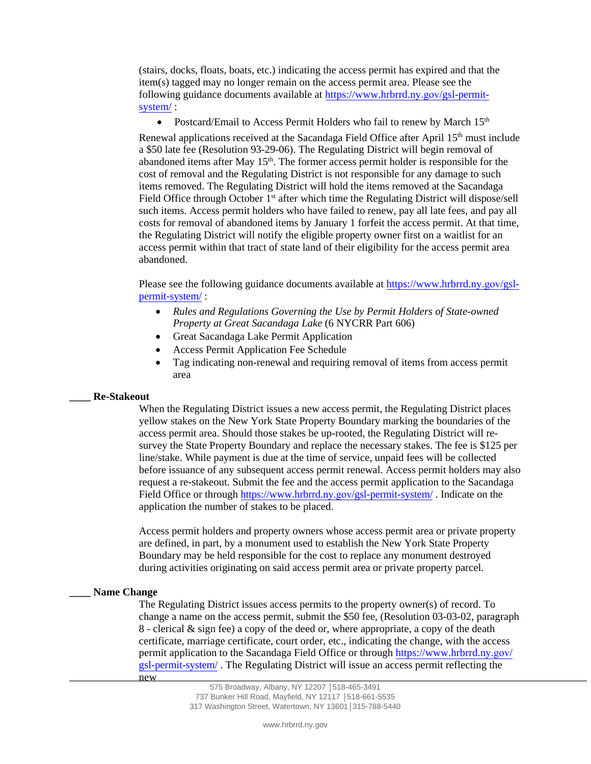(stairs, docks, floats, boats, etc.) indicating the access permit has expired and that the item(s) tagged may no longer remain on the access permit area. Please see the following [guidance documents available at](https://www.hrbrrd.ny.gov/gsl-permit-system/) https://www.hrbrrd.ny.gov/gsl-permitsystem/ :

• Postcard/Email to Access Permit Holders who fail to renew by March 15<sup>th</sup> Renewal applications received at the Sacandaga Field Office after April 15th must include a \$50 late fee (Resolution 93-29-06). The Regulating District will begin removal of abandoned items after May  $15<sup>th</sup>$ . The former access permit holder is responsible for the cost of removal and the Regulating District is not responsible for any damage to such items removed. The Regulating District will hold the items removed at the Sacandaga Field Office through October 1<sup>st</sup> after which time the Regulating District will dispose/sell such items. Access permit holders who have failed to renew, pay all late fees, and pay all costs for removal of abandoned items by January 1 forfeit the access permit. At that time, the Regulating District will notify the eligible property owner first on a waitlist for an access permit within that tract of state land of their eligibility for the access permit area abandoned.

Please see the following guidance documents available a[t https://www.hrbrrd.](https://www.hrbrrd.ny.gov/gsl-permit-system/)ny.gov/gsl[permit-system/](https://www.hrbrrd.ny.gov/gsl-permit-system/) :

- *Rules and Regulations Governing the Use by Permit Holders of State-owned Property at Great Sacandaga Lake* (6 NYCRR Part 606)
- Great Sacandaga Lake Permit Application
- Access Permit Application Fee Schedule
- Tag indicating non-renewal and requiring removal of items from access permit area

# **\_\_\_\_ Re-Stakeout**

When the Regulating District issues a new access permit, the Regulating District places yellow stakes on the New York State Property Boundary marking the boundaries of the access permit area. Should those stakes be up-rooted, the Regulating District will resurvey the State Property Boundary and replace the necessary stakes. The fee is \$125 per line/stake. While payment is due at the time of service, unpaid fees will be collected before issuance of any subsequent access permit renewal. Access permit holders may also request a re-stakeout. Submit the fee and the access permit application to the Sacandaga Field Office or through [https://www.hrbrrd.](https://www.hrbrrd.ny.gov/gsl-permit-system/)ny.gov/gsl-permit-system/ . Indicate on the application the number of stakes to be placed.

Access permit holders and property owners whose access permit area or private property are defined, in part, by a monument used to establish the New York State Property Boundary may be held responsible for the cost to replace any monument destroyed during activities originating on said access permit area or private property parcel.

# **\_\_\_\_ Name Change**

The Regulating District issues access permits to the property owner(s) of record. To change a name on the access permit, submit the \$50 fee, (Resolution 03-03-02, paragraph 8 - clerical & sign fee) a copy of the deed or, where appropriate, a copy of the death certificate, marriage certificate, court order, etc., indicating the change, with the access permit application to the Sacandaga Field Office or throug[h https://www.hrbrrd.](https://www.hrbrrd.ny.gov/gsl-permit-system/)ny.gov/ [gsl-permit-syste](https://www.hrbrrd.ny.gov/gsl-permit-system/)m/ . The Regulating District will issue an access permit reflecting the new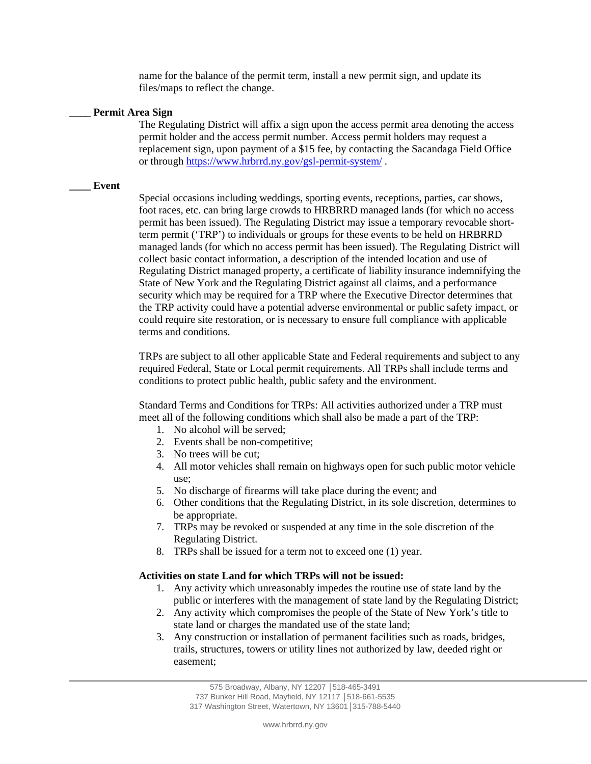name for the balance of the permit term, install a new permit sign, and update its files/maps to reflect the change.

#### **\_\_\_\_ Permit Area Sign**

The Regulating District will affix a sign upon the access permit area denoting the access permit holder and the access permit number. Access permit holders may request a replacement sign, upon payment of a \$15 fee, by contacting the Sacandaga Field Office or through [https://www.hrbrrd.](https://www.hrbrrd.ny.gov/gsl-permit-system/)ny.gov/gsl-permit-system/ .

## **\_\_\_\_ Event**

Special occasions including weddings, sporting events, receptions, parties, car shows, foot races, etc. can bring large crowds to HRBRRD managed lands (for which no access permit has been issued). The Regulating District may issue a temporary revocable shortterm permit ('TRP') to individuals or groups for these events to be held on HRBRRD managed lands (for which no access permit has been issued). The Regulating District will collect basic contact information, a description of the intended location and use of Regulating District managed property, a certificate of liability insurance indemnifying the State of New York and the Regulating District against all claims, and a performance security which may be required for a TRP where the Executive Director determines that the TRP activity could have a potential adverse environmental or public safety impact, or could require site restoration, or is necessary to ensure full compliance with applicable terms and conditions.

TRPs are subject to all other applicable State and Federal requirements and subject to any required Federal, State or Local permit requirements. All TRPs shall include terms and conditions to protect public health, public safety and the environment.

Standard Terms and Conditions for TRPs: All activities authorized under a TRP must meet all of the following conditions which shall also be made a part of the TRP:

- 1. No alcohol will be served;
- 2. Events shall be non-competitive;
- 3. No trees will be cut;
- 4. All motor vehicles shall remain on highways open for such public motor vehicle use;
- 5. No discharge of firearms will take place during the event; and
- 6. Other conditions that the Regulating District, in its sole discretion, determines to be appropriate.
- 7. TRPs may be revoked or suspended at any time in the sole discretion of the Regulating District.
- 8. TRPs shall be issued for a term not to exceed one (1) year.

# **Activities on state Land for which TRPs will not be issued:**

- 1. Any activity which unreasonably impedes the routine use of state land by the public or interferes with the management of state land by the Regulating District;
- 2. Any activity which compromises the people of the State of New York's title to state land or charges the mandated use of the state land;
- 3. Any construction or installation of permanent facilities such as roads, bridges, trails, structures, towers or utility lines not authorized by law, deeded right or easement;

<sup>575</sup> Broadway, Albany, NY 12207 │518-465-3491 737 Bunker Hill Road, Mayfield, NY 12117 │518-661-5535 317 Washington Street, Watertown, NY 13601│315-788-5440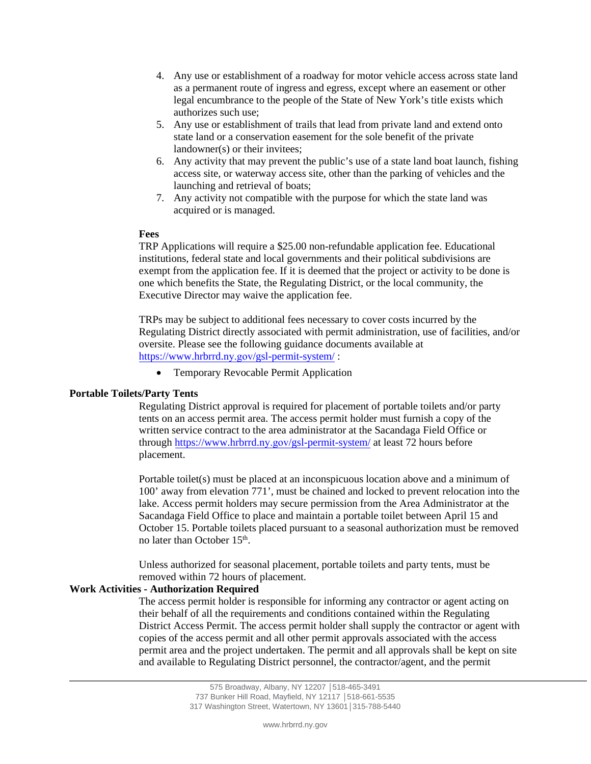- 4. Any use or establishment of a roadway for motor vehicle access across state land as a permanent route of ingress and egress, except where an easement or other legal encumbrance to the people of the State of New York's title exists which authorizes such use;
- 5. Any use or establishment of trails that lead from private land and extend onto state land or a conservation easement for the sole benefit of the private landowner(s) or their invitees;
- 6. Any activity that may prevent the public's use of a state land boat launch, fishing access site, or waterway access site, other than the parking of vehicles and the launching and retrieval of boats;
- 7. Any activity not compatible with the purpose for which the state land was acquired or is managed.

## **Fees**

TRP Applications will require a \$25.00 non-refundable application fee. Educational institutions, federal state and local governments and their political subdivisions are exempt from the application fee. If it is deemed that the project or activity to be done is one which benefits the State, the Regulating District, or the local community, the Executive Director may waive the application fee.

TRPs may be subject to additional fees necessary to cover costs incurred by the Regulating District directly associated with permit administration, use of facilities, and/or oversite. Please see the following guidance documents available at [https://www.hrbrrd.](https://www.hrbrrd.com/gsl-permit-system/)ny.gov/gsl-permit-system/ :

• Temporary Revocable Permit Application

# **Portable Toilets/Party Tents**

Regulating District approval is required for placement of portable toilets and/or party tents on an access permit area. The access permit holder must furnish a copy of the written service contract to the area administrator at the Sacandaga Field Office or [through](https://www.hrbrrd.com/gsl-permit-system/) [https://www.hrbrrd.](https://www.hrbrrd.ny.gov/gsl-permit-system/)ny.gov/gsl-permit-system/ at least 72 hours before placement.

Portable toilet(s) must be placed at an inconspicuous location above and a minimum of 100' away from elevation 771', must be chained and locked to prevent relocation into the lake. Access permit holders may secure permission from the Area Administrator at the Sacandaga Field Office to place and maintain a portable toilet between April 15 and October 15. Portable toilets placed pursuant to a seasonal authorization must be removed no later than October 15<sup>th</sup>.

Unless authorized for seasonal placement, portable toilets and party tents, must be removed within 72 hours of placement.

# **Work Activities - Authorization Required**

The access permit holder is responsible for informing any contractor or agent acting on their behalf of all the requirements and conditions contained within the Regulating District Access Permit. The access permit holder shall supply the contractor or agent with copies of the access permit and all other permit approvals associated with the access permit area and the project undertaken. The permit and all approvals shall be kept on site and available to Regulating District personnel, the contractor/agent, and the permit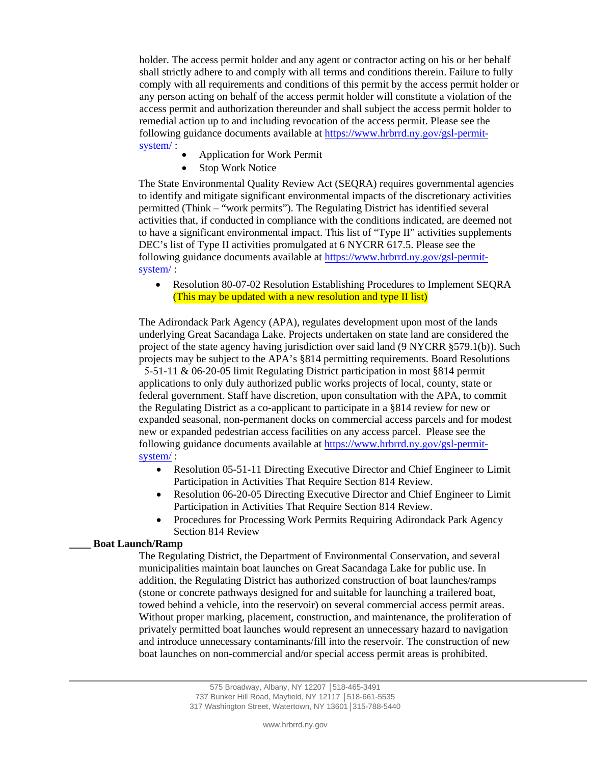holder. The access permit holder and any agent or contractor acting on his or her behalf shall strictly adhere to and comply with all terms and conditions therein. Failure to fully comply with all requirements and conditions of this permit by the access permit holder or any person acting on behalf of the access permit holder will constitute a violation of the access permit and authorization thereunder and shall subject the access permit holder to remedial action up to and including revocation of the access permit. Please see the [following guidance documents available at](https://www.hrbrrd.ny.gov/gsl-permit-system/) https://www.hrbrrd.ny.gov/gsl-permitsystem/ :

- Application for Work Permit
- Stop Work Notice

The State Environmental Quality Review Act (SEQRA) requires governmental agencies to identify and mitigate significant environmental impacts of the discretionary activities permitted (Think – "work permits"). The Regulating District has identified several activities that, if conducted in compliance with the conditions indicated, are deemed not to have a significant environmental impact. This list of "Type II" activities supplements DEC's list of Type II activities promulgated at 6 NYCRR 617.5. Please see the [following guidance documents available at](https://www.hrbrrd.ny.gov/gsl-permit-system/) https://www.hrbrrd.ny.gov/gsl-permitsystem/ :

• Resolution 80-07-02 Resolution Establishing Procedures to Implement SEQRA (This may be updated with a new resolution and type II list)

The Adirondack Park Agency (APA), regulates development upon most of the lands underlying Great Sacandaga Lake. Projects undertaken on state land are considered the project of the state agency having jurisdiction over said land (9 NYCRR §579.1(b)). Such projects may be subject to the APA's §814 permitting requirements. Board Resolutions

5-51-11 & 06-20-05 limit Regulating District participation in most §814 permit applications to only duly authorized public works projects of local, county, state or federal government. Staff have discretion, upon consultation with the APA, to commit the Regulating District as a co-applicant to participate in a §814 review for new or expanded seasonal, non-permanent docks on commercial access parcels and for modest new or expanded pedestrian access facilities on any access parcel. Please see the [following guidance documents available at](https://www.hrbrrd.ny.gov/gsl-permit-system/) https://www.hrbrrd.ny.gov/gsl-permitsystem/ :

- Resolution 05-51-11 Directing Executive Director and Chief Engineer to Limit Participation in Activities That Require Section 814 Review.
- Resolution 06-20-05 Directing Executive Director and Chief Engineer to Limit Participation in Activities That Require Section 814 Review.
- Procedures for Processing Work Permits Requiring Adirondack Park Agency Section 814 Review

## **\_\_\_\_ Boat Launch/Ramp**

The Regulating District, the Department of Environmental Conservation, and several municipalities maintain boat launches on Great Sacandaga Lake for public use. In addition, the Regulating District has authorized construction of boat launches/ramps (stone or concrete pathways designed for and suitable for launching a trailered boat, towed behind a vehicle, into the reservoir) on several commercial access permit areas. Without proper marking, placement, construction, and maintenance, the proliferation of privately permitted boat launches would represent an unnecessary hazard to navigation and introduce unnecessary contaminants/fill into the reservoir. The construction of new boat launches on non-commercial and/or special access permit areas is prohibited.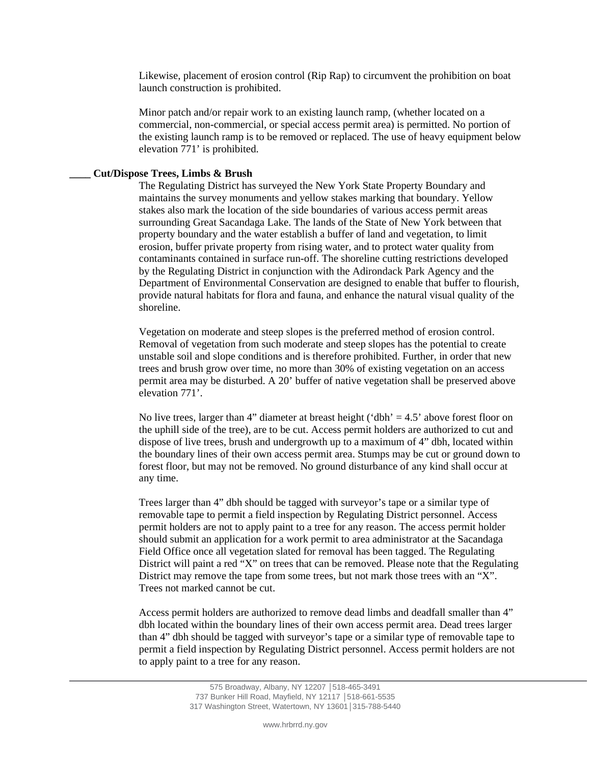Likewise, placement of erosion control (Rip Rap) to circumvent the prohibition on boat launch construction is prohibited.

Minor patch and/or repair work to an existing launch ramp, (whether located on a commercial, non-commercial, or special access permit area) is permitted. No portion of the existing launch ramp is to be removed or replaced. The use of heavy equipment below elevation 771' is prohibited.

#### **\_\_\_\_ Cut/Dispose Trees, Limbs & Brush**

The Regulating District has surveyed the New York State Property Boundary and maintains the survey monuments and yellow stakes marking that boundary. Yellow stakes also mark the location of the side boundaries of various access permit areas surrounding Great Sacandaga Lake. The lands of the State of New York between that property boundary and the water establish a buffer of land and vegetation, to limit erosion, buffer private property from rising water, and to protect water quality from contaminants contained in surface run-off. The shoreline cutting restrictions developed by the Regulating District in conjunction with the Adirondack Park Agency and the Department of Environmental Conservation are designed to enable that buffer to flourish, provide natural habitats for flora and fauna, and enhance the natural visual quality of the shoreline.

Vegetation on moderate and steep slopes is the preferred method of erosion control. Removal of vegetation from such moderate and steep slopes has the potential to create unstable soil and slope conditions and is therefore prohibited. Further, in order that new trees and brush grow over time, no more than 30% of existing vegetation on an access permit area may be disturbed. A 20' buffer of native vegetation shall be preserved above elevation 771'.

No live trees, larger than 4" diameter at breast height ('dbh' =  $4.5$ ' above forest floor on the uphill side of the tree), are to be cut. Access permit holders are authorized to cut and dispose of live trees, brush and undergrowth up to a maximum of 4" dbh, located within the boundary lines of their own access permit area. Stumps may be cut or ground down to forest floor, but may not be removed. No ground disturbance of any kind shall occur at any time.

Trees larger than 4" dbh should be tagged with surveyor's tape or a similar type of removable tape to permit a field inspection by Regulating District personnel. Access permit holders are not to apply paint to a tree for any reason. The access permit holder should submit an application for a work permit to area administrator at the Sacandaga Field Office once all vegetation slated for removal has been tagged. The Regulating District will paint a red "X" on trees that can be removed. Please note that the Regulating District may remove the tape from some trees, but not mark those trees with an "X". Trees not marked cannot be cut.

Access permit holders are authorized to remove dead limbs and deadfall smaller than 4" dbh located within the boundary lines of their own access permit area. Dead trees larger than 4" dbh should be tagged with surveyor's tape or a similar type of removable tape to permit a field inspection by Regulating District personnel. Access permit holders are not to apply paint to a tree for any reason.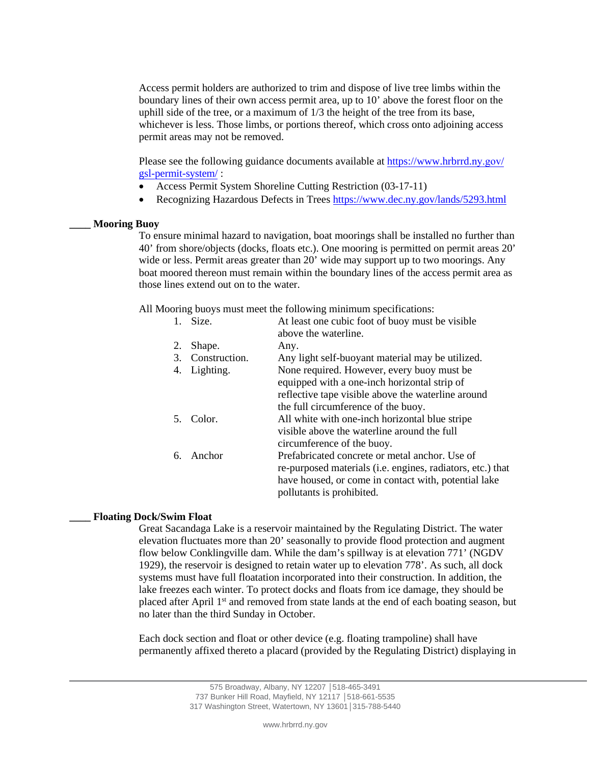Access permit holders are authorized to trim and dispose of live tree limbs within the boundary lines of their own access permit area, up to 10' above the forest floor on the uphill side of the tree, or a maximum of 1/3 the height of the tree from its base, whichever is less. Those limbs, or portions thereof, which cross onto adjoining access permit areas may not be removed.

Please see the following guidance documents available at [https://www.hrbrrd.](https://www.hrbrrd.ny.gov/gsl-permit-system/)ny.gov/ [gsl-permit-syste](https://www.hrbrrd.ny.gov/gsl-permit-system/)m/ :

- Access Permit System Shoreline Cutting Restriction (03-17-11)
- Recognizing Hazardous Defects in Trees<https://www.dec.ny.gov/lands/5293.html>

#### **\_\_\_\_ Mooring Buoy**

To ensure minimal hazard to navigation, boat moorings shall be installed no further than 40' from shore/objects (docks, floats etc.). One mooring is permitted on permit areas 20' wide or less. Permit areas greater than 20' wide may support up to two moorings. Any boat moored thereon must remain within the boundary lines of the access permit area as those lines extend out on to the water.

All Mooring buoys must meet the following minimum specifications:

|    | Size.         | At least one cubic foot of buoy must be visible            |
|----|---------------|------------------------------------------------------------|
|    |               | above the waterline.                                       |
| 2. | Shape.        | Any.                                                       |
| 3. | Construction. | Any light self-buoyant material may be utilized.           |
| 4. | Lighting.     | None required. However, every buoy must be                 |
|    |               | equipped with a one-inch horizontal strip of               |
|    |               | reflective tape visible above the waterline around         |
|    |               | the full circumference of the buoy.                        |
|    | 5. Color.     | All white with one-inch horizontal blue stripe             |
|    |               | visible above the waterline around the full                |
|    |               | circumference of the buoy.                                 |
| 6. | Anchor        | Prefabricated concrete or metal anchor. Use of             |
|    |               | re-purposed materials (i.e. engines, radiators, etc.) that |
|    |               | have housed, or come in contact with, potential lake       |
|    |               | pollutants is prohibited.                                  |

### **\_\_\_\_ Floating Dock/Swim Float**

Great Sacandaga Lake is a reservoir maintained by the Regulating District. The water elevation fluctuates more than 20' seasonally to provide flood protection and augment flow below Conklingville dam. While the dam's spillway is at elevation 771' (NGDV 1929), the reservoir is designed to retain water up to elevation 778'. As such, all dock systems must have full floatation incorporated into their construction. In addition, the lake freezes each winter. To protect docks and floats from ice damage, they should be placed after April 1<sup>st</sup> and removed from state lands at the end of each boating season, but no later than the third Sunday in October.

Each dock section and float or other device (e.g. floating trampoline) shall have permanently affixed thereto a placard (provided by the Regulating District) displaying in

> 575 Broadway, Albany, NY 12207 │518-465-3491 737 Bunker Hill Road, Mayfield, NY 12117 │518-661-5535 317 Washington Street, Watertown, NY 13601│315-788-5440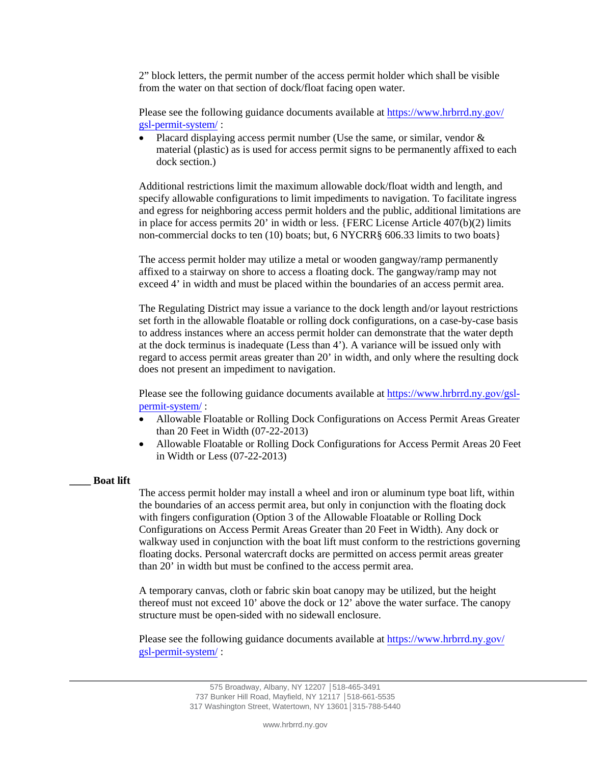2" block letters, the permit number of the access permit holder which shall be visible from the water on that section of dock/float facing open water.

Please see the following guidance documents available at [https://www.hrbrrd.](https://www.hrbrrd.ny.gov/gsl-permit-system/)ny.gov/ [gsl-permit-syste](https://www.hrbrrd.ny.gov/gsl-permit-system/)m/ :

• Placard displaying access permit number (Use the same, or similar, vendor  $\&$ material (plastic) as is used for access permit signs to be permanently affixed to each dock section.)

Additional restrictions limit the maximum allowable dock/float width and length, and specify allowable configurations to limit impediments to navigation. To facilitate ingress and egress for neighboring access permit holders and the public, additional limitations are in place for access permits 20' in width or less. {FERC License Article 407(b)(2) limits non-commercial docks to ten (10) boats; but, 6 NYCRR§ 606.33 limits to two boats}

The access permit holder may utilize a metal or wooden gangway/ramp permanently affixed to a stairway on shore to access a floating dock. The gangway/ramp may not exceed 4' in width and must be placed within the boundaries of an access permit area.

The Regulating District may issue a variance to the dock length and/or layout restrictions set forth in the allowable floatable or rolling dock configurations, on a case-by-case basis to address instances where an access permit holder can demonstrate that the water depth at the dock terminus is inadequate (Less than 4'). A variance will be issued only with regard to access permit areas greater than 20' in width, and only where the resulting dock does not present an impediment to navigation.

Please see the following guidance documents available at [https://www.hrbrrd.](https://www.hrbrrd.ny.gov/gsl-permit-system/)ny.gov/gsl[permit-system/](https://www.hrbrrd.ny.gov/gsl-permit-system/) :

- Allowable Floatable or Rolling Dock Configurations on Access Permit Areas Greater than 20 Feet in Width (07-22-2013)
- Allowable Floatable or Rolling Dock Configurations for Access Permit Areas 20 Feet in Width or Less (07-22-2013)

## **\_\_\_\_ Boat lift**

The access permit holder may install a wheel and iron or aluminum type boat lift, within the boundaries of an access permit area, but only in conjunction with the floating dock with fingers configuration (Option 3 of the Allowable Floatable or Rolling Dock Configurations on Access Permit Areas Greater than 20 Feet in Width). Any dock or walkway used in conjunction with the boat lift must conform to the restrictions governing floating docks. Personal watercraft docks are permitted on access permit areas greater than 20' in width but must be confined to the access permit area.

A temporary canvas, cloth or fabric skin boat canopy may be utilized, but the height thereof must not exceed 10' above the dock or 12' above the water surface. The canopy structure must be open-sided with no sidewall enclosure.

Please see the following guidance documents available at [https://www.hrbrrd.](https://www.hrbrrd.ny.gov/gsl-permit-system/)ny.gov/ [gsl-permit-syste](https://www.hrbrrd.ny.gov/gsl-permit-system/)m/ :

> 575 Broadway, Albany, NY 12207 │518-465-3491 737 Bunker Hill Road, Mayfield, NY 12117 │518-661-5535 317 Washington Street, Watertown, NY 13601│315-788-5440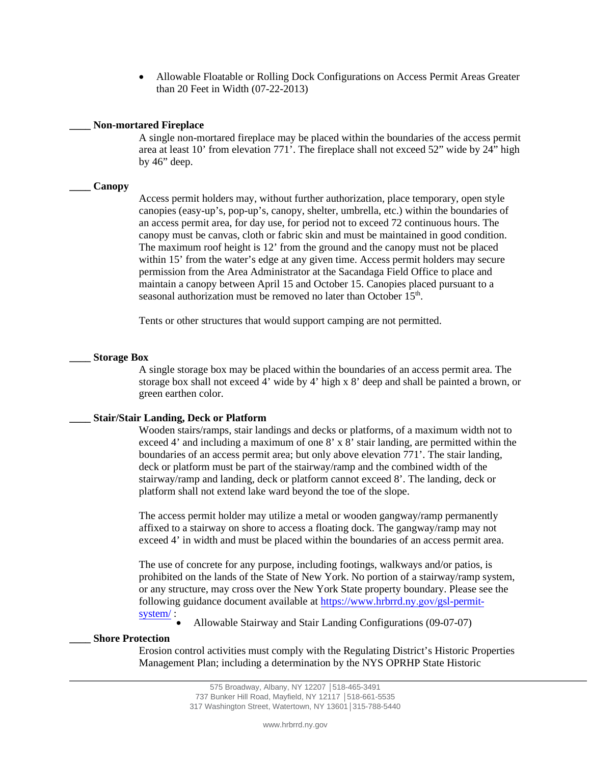• Allowable Floatable or Rolling Dock Configurations on Access Permit Areas Greater than 20 Feet in Width (07-22-2013)

## **\_\_\_\_ Non-mortared Fireplace**

A single non-mortared fireplace may be placed within the boundaries of the access permit area at least 10' from elevation 771'. The fireplace shall not exceed 52" wide by 24" high by 46" deep.

## **\_\_\_\_ Canopy**

Access permit holders may, without further authorization, place temporary, open style canopies (easy-up's, pop-up's, canopy, shelter, umbrella, etc.) within the boundaries of an access permit area, for day use, for period not to exceed 72 continuous hours. The canopy must be canvas, cloth or fabric skin and must be maintained in good condition. The maximum roof height is 12' from the ground and the canopy must not be placed within 15' from the water's edge at any given time. Access permit holders may secure permission from the Area Administrator at the Sacandaga Field Office to place and maintain a canopy between April 15 and October 15. Canopies placed pursuant to a seasonal authorization must be removed no later than October 15<sup>th</sup>.

Tents or other structures that would support camping are not permitted.

## **\_\_\_\_ Storage Box**

A single storage box may be placed within the boundaries of an access permit area. The storage box shall not exceed 4' wide by 4' high x 8' deep and shall be painted a brown, or green earthen color.

## **\_\_\_\_ Stair/Stair Landing, Deck or Platform**

Wooden stairs/ramps, stair landings and decks or platforms, of a maximum width not to exceed 4' and including a maximum of one 8' x 8' stair landing, are permitted within the boundaries of an access permit area; but only above elevation 771'. The stair landing, deck or platform must be part of the stairway/ramp and the combined width of the stairway/ramp and landing, deck or platform cannot exceed 8'. The landing, deck or platform shall not extend lake ward beyond the toe of the slope.

The access permit holder may utilize a metal or wooden gangway/ramp permanently affixed to a stairway on shore to access a floating dock. The gangway/ramp may not exceed 4' in width and must be placed within the boundaries of an access permit area.

The use of concrete for any purpose, including footings, walkways and/or patios, is prohibited on the lands of the State of New York. No portion of a stairway/ramp system, or any structure, may cross over the New York State property boundary. Please see the [following guidance document available at](https://www.hrbrrd.ny.gov/gsl-permit-system/) https://www.hrbrrd.ny.gov/gsl-permitsystem/:

• Allowable Stairway and Stair Landing Configurations (09-07-07)

## **\_\_\_\_ Shore Protection**

Erosion control activities must comply with the Regulating District's Historic Properties Management Plan; including a determination by the NYS OPRHP State Historic

<sup>575</sup> Broadway, Albany, NY 12207 │518-465-3491 737 Bunker Hill Road, Mayfield, NY 12117 │518-661-5535 317 Washington Street, Watertown, NY 13601│315-788-5440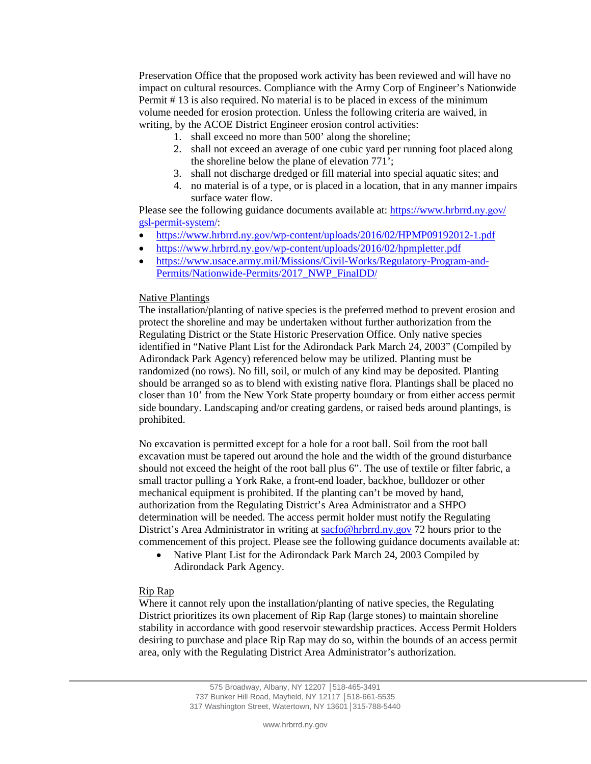Preservation Office that the proposed work activity has been reviewed and will have no impact on cultural resources. Compliance with the Army Corp of Engineer's Nationwide Permit # 13 is also required. No material is to be placed in excess of the minimum volume needed for erosion protection. Unless the following criteria are waived, in writing, by the ACOE District Engineer erosion control activities:

- 1. shall exceed no more than 500' along the shoreline;
- 2. shall not exceed an average of one cubic yard per running foot placed along the shoreline below the plane of elevation 771';
- 3. shall not discharge dredged or fill material into special aquatic sites; and
- 4. no material is of a type, or is placed in a location, that in any manner impairs surface water flow.

Please see the following guidance documents available at: [https://www.hrbrrd.](https://www.hrbrrd.ny.gov/gsl-permit-system/)ny.gov/ [gsl-permit-syste](https://www.hrbrrd.ny.gov/gsl-permit-system/)m/:

- https://www.hrbrrd.ny.gov[/wp-content/uploads/2016/02/HPMP09192012-1.p](https://www.hrbrrd.ny.gov/wp-content/uploads/2016/02/HPMP09192012-1.pdf)df
- https://www.hrbrrd.ny.gov[/wp-content/uploads/2016/02/hpmpletter.p](https://www.hrbrrd.ny.gov/wp-content/uploads/2016/02/hpmpletter.pdf)df
- [https://www.usace.army.mil/Missions/Civil-Works/Regulatory-Program-and-](https://www.usace.army.mil/Missions/Civil-Works/Regulatory-Program-and-Permits/Nationwide-Permits/2017_NWP_FinalDD/)[Permits/Nationwide-Permits/2017\\_NWP\\_FinalDD/](https://www.usace.army.mil/Missions/Civil-Works/Regulatory-Program-and-Permits/Nationwide-Permits/2017_NWP_FinalDD/)

## Native Plantings

The installation/planting of native species is the preferred method to prevent erosion and protect the shoreline and may be undertaken without further authorization from the Regulating District or the State Historic Preservation Office. Only native species identified in "Native Plant List for the Adirondack Park March 24, 2003" (Compiled by Adirondack Park Agency) referenced below may be utilized. Planting must be randomized (no rows). No fill, soil, or mulch of any kind may be deposited. Planting should be arranged so as to blend with existing native flora. Plantings shall be placed no closer than 10' from the New York State property boundary or from either access permit side boundary. Landscaping and/or creating gardens, or raised beds around plantings, is prohibited.

No excavation is permitted except for a hole for a root ball. Soil from the root ball excavation must be tapered out around the hole and the width of the ground disturbance should not exceed the height of the root ball plus 6". The use of textile or filter fabric, a small tractor pulling a York Rake, a front-end loader, backhoe, bulldozer or other mechanical equipment is prohibited. If the planting can't be moved by hand, authorization from the Regulating District's Area Administrator and a SHPO determination will be needed. The access permit holder must notify the Regulating District's Area Administrator in writing at [sacfo@hrbrrd.ny.gov](mailto:sacfo@hrbrrd.ny.gov) 72 hours prior to the commencement of this project. Please see the following guidance documents available at:

• Native Plant List for the Adirondack Park March 24, 2003 Compiled by Adirondack Park Agency.

# Rip Rap

Where it cannot rely upon the installation/planting of native species, the Regulating District prioritizes its own placement of Rip Rap (large stones) to maintain shoreline stability in accordance with good reservoir stewardship practices. Access Permit Holders desiring to purchase and place Rip Rap may do so, within the bounds of an access permit area, only with the Regulating District Area Administrator's authorization.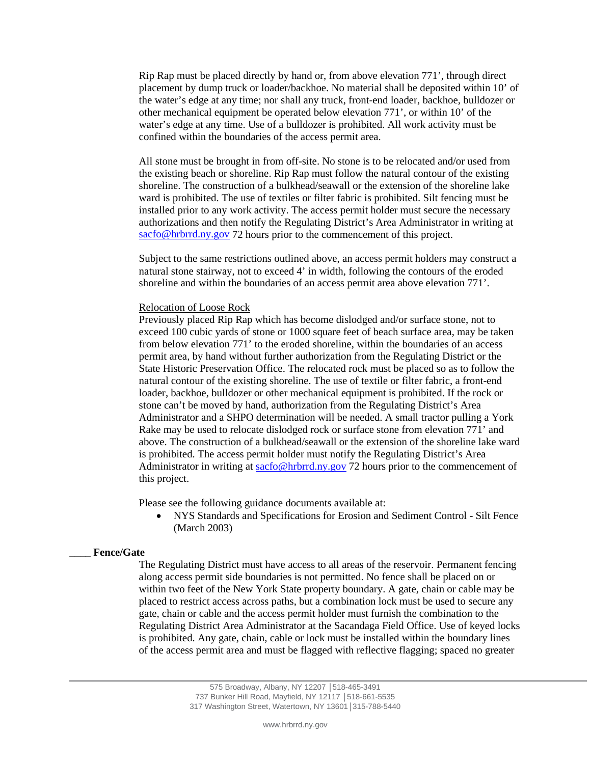Rip Rap must be placed directly by hand or, from above elevation 771', through direct placement by dump truck or loader/backhoe. No material shall be deposited within 10' of the water's edge at any time; nor shall any truck, front-end loader, backhoe, bulldozer or other mechanical equipment be operated below elevation 771', or within 10' of the water's edge at any time. Use of a bulldozer is prohibited. All work activity must be confined within the boundaries of the access permit area.

All stone must be brought in from off-site. No stone is to be relocated and/or used from the existing beach or shoreline. Rip Rap must follow the natural contour of the existing shoreline. The construction of a bulkhead/seawall or the extension of the shoreline lake ward is prohibited. The use of textiles or filter fabric is prohibited. Silt fencing must be installed prior to any work activity. The access permit holder must secure the necessary authorizations and then notify the Regulating District's Area Administrator in writing at [sacfo@hrbrrd.ny.gov](mailto:sacfo@hrbrrd.ny.gov) 72 hours prior to the commencement of this project.

Subject to the same restrictions outlined above, an access permit holders may construct a natural stone stairway, not to exceed 4' in width, following the contours of the eroded shoreline and within the boundaries of an access permit area above elevation 771'.

#### Relocation of Loose Rock

Previously placed Rip Rap which has become dislodged and/or surface stone, not to exceed 100 cubic yards of stone or 1000 square feet of beach surface area, may be taken from below elevation 771' to the eroded shoreline, within the boundaries of an access permit area, by hand without further authorization from the Regulating District or the State Historic Preservation Office. The relocated rock must be placed so as to follow the natural contour of the existing shoreline. The use of textile or filter fabric, a front-end loader, backhoe, bulldozer or other mechanical equipment is prohibited. If the rock or stone can't be moved by hand, authorization from the Regulating District's Area Administrator and a SHPO determination will be needed. A small tractor pulling a York Rake may be used to relocate dislodged rock or surface stone from elevation 771' and above. The construction of a bulkhead/seawall or the extension of the shoreline lake ward is prohibited. The access permit holder must notify the Regulating District's Area Administrator in writing at [sacfo@hrbrrd.ny.gov](mailto:sacfo@hrbrrd.ny.gov) 72 hours prior to the commencement of this project.

Please see the following guidance documents available at:

• NYS Standards and Specifications for Erosion and Sediment Control - Silt Fence (March 2003)

### **\_\_\_\_ Fence/Gate**

The Regulating District must have access to all areas of the reservoir. Permanent fencing along access permit side boundaries is not permitted. No fence shall be placed on or within two feet of the New York State property boundary. A gate, chain or cable may be placed to restrict access across paths, but a combination lock must be used to secure any gate, chain or cable and the access permit holder must furnish the combination to the Regulating District Area Administrator at the Sacandaga Field Office. Use of keyed locks is prohibited. Any gate, chain, cable or lock must be installed within the boundary lines of the access permit area and must be flagged with reflective flagging; spaced no greater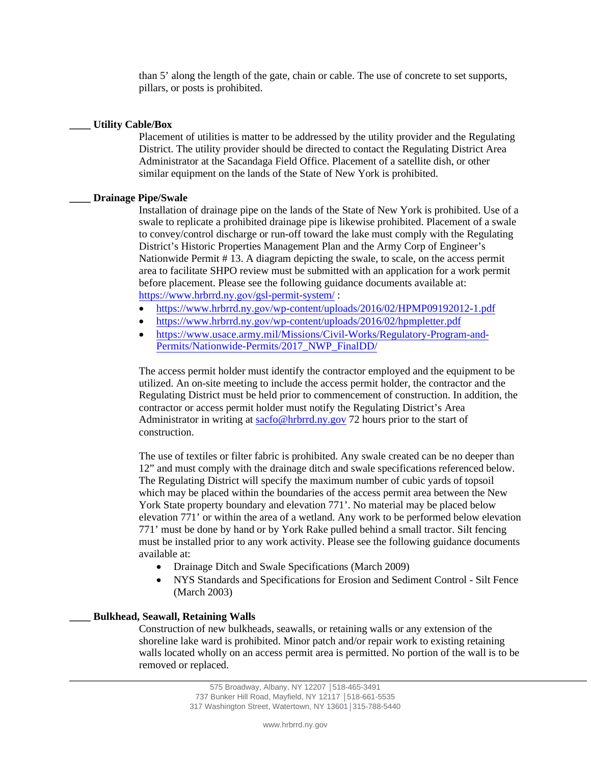than 5' along the length of the gate, chain or cable. The use of concrete to set supports, pillars, or posts is prohibited.

## **\_\_\_\_ Utility Cable/Box**

Placement of utilities is matter to be addressed by the utility provider and the Regulating District. The utility provider should be directed to contact the Regulating District Area Administrator at the Sacandaga Field Office. Placement of a satellite dish, or other similar equipment on the lands of the State of New York is prohibited.

## **\_\_\_\_ Drainage Pipe/Swale**

Installation of drainage pipe on the lands of the State of New York is prohibited. Use of a swale to replicate a prohibited drainage pipe is likewise prohibited. Placement of a swale to convey/control discharge or run-off toward the lake must comply with the Regulating District's Historic Properties Management Plan and the Army Corp of Engineer's Nationwide Permit # 13. A diagram depicting the swale, to scale, on the access permit area to facilitate SHPO review must be submitted with an application for a work permit before placement. Please see the following guidance documents available at: [https://www.hrbrrd.](https://www.hrbrrd.ny.gov/gsl-permit-system/)ny.gov/gsl-permit-system/ :

- https://www.hrbrrd.ny.gov[/wp-content/uploads/2016/02/HPMP09192012-1.p](https://www.hrbrrd.ny.gov/wp-content/uploads/2016/02/HPMP09192012-1.pdf)df
- https://www.hrbrrd.ny.gov[/wp-content/uploads/2016/02/hpmpletter.p](https://www.hrbrrd.ny.gov/wp-content/uploads/2016/02/hpmpletter.pdf)df
- [https://www.usace.army.mil/Missions/Civil-Works/Regulatory-Program-and-](https://www.usace.army.mil/Missions/Civil-Works/Regulatory-Program-and-Permits/Nationwide-Permits/2017_NWP_FinalDD/)[Permits/Nationwide-Permits/2017\\_NWP\\_FinalDD/](https://www.usace.army.mil/Missions/Civil-Works/Regulatory-Program-and-Permits/Nationwide-Permits/2017_NWP_FinalDD/)

The access permit holder must identify the contractor employed and the equipment to be utilized. An on-site meeting to include the access permit holder, the contractor and the Regulating District must be held prior to commencement of construction. In addition, the contractor or access permit holder must notify the Regulating District's Area Administrator in writing at [sacfo@hrbrrd.ny.gov](mailto:sacfo@hrbrrd.ny.gov) 72 hours prior to the start of construction.

The use of textiles or filter fabric is prohibited. Any swale created can be no deeper than 12" and must comply with the drainage ditch and swale specifications referenced below. The Regulating District will specify the maximum number of cubic yards of topsoil which may be placed within the boundaries of the access permit area between the New York State property boundary and elevation 771'. No material may be placed below elevation 771' or within the area of a wetland. Any work to be performed below elevation 771' must be done by hand or by York Rake pulled behind a small tractor. Silt fencing must be installed prior to any work activity. Please see the following guidance documents available at:

- Drainage Ditch and Swale Specifications (March 2009)
- NYS Standards and Specifications for Erosion and Sediment Control Silt Fence (March 2003)

## **\_\_\_\_ Bulkhead, Seawall, Retaining Walls**

Construction of new bulkheads, seawalls, or retaining walls or any extension of the shoreline lake ward is prohibited. Minor patch and/or repair work to existing retaining walls located wholly on an access permit area is permitted. No portion of the wall is to be removed or replaced.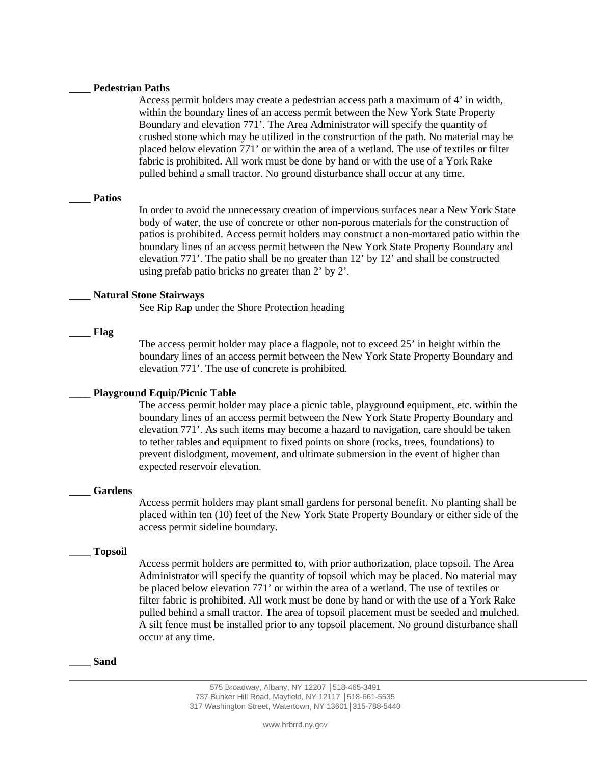#### **\_\_\_\_ Pedestrian Paths**

Access permit holders may create a pedestrian access path a maximum of 4' in width, within the boundary lines of an access permit between the New York State Property Boundary and elevation 771'. The Area Administrator will specify the quantity of crushed stone which may be utilized in the construction of the path. No material may be placed below elevation 771' or within the area of a wetland. The use of textiles or filter fabric is prohibited. All work must be done by hand or with the use of a York Rake pulled behind a small tractor. No ground disturbance shall occur at any time.

#### **\_\_\_\_ Patios**

In order to avoid the unnecessary creation of impervious surfaces near a New York State body of water, the use of concrete or other non-porous materials for the construction of patios is prohibited. Access permit holders may construct a non-mortared patio within the boundary lines of an access permit between the New York State Property Boundary and elevation 771'. The patio shall be no greater than 12' by 12' and shall be constructed using prefab patio bricks no greater than 2' by 2'.

#### **\_\_\_\_ Natural Stone Stairways**

See Rip Rap under the Shore Protection heading

## **\_\_\_\_ Flag**

The access permit holder may place a flagpole, not to exceed 25' in height within the boundary lines of an access permit between the New York State Property Boundary and elevation 771'. The use of concrete is prohibited.

## \_\_\_\_ **Playground Equip/Picnic Table**

The access permit holder may place a picnic table, playground equipment, etc. within the boundary lines of an access permit between the New York State Property Boundary and elevation 771'. As such items may become a hazard to navigation, care should be taken to tether tables and equipment to fixed points on shore (rocks, trees, foundations) to prevent dislodgment, movement, and ultimate submersion in the event of higher than expected reservoir elevation.

#### **\_\_\_\_ Gardens**

Access permit holders may plant small gardens for personal benefit. No planting shall be placed within ten (10) feet of the New York State Property Boundary or either side of the access permit sideline boundary.

#### **\_\_\_\_ Topsoil**

Access permit holders are permitted to, with prior authorization, place topsoil. The Area Administrator will specify the quantity of topsoil which may be placed. No material may be placed below elevation 771' or within the area of a wetland. The use of textiles or filter fabric is prohibited. All work must be done by hand or with the use of a York Rake pulled behind a small tractor. The area of topsoil placement must be seeded and mulched. A silt fence must be installed prior to any topsoil placement. No ground disturbance shall occur at any time.

#### **\_\_\_\_ Sand**